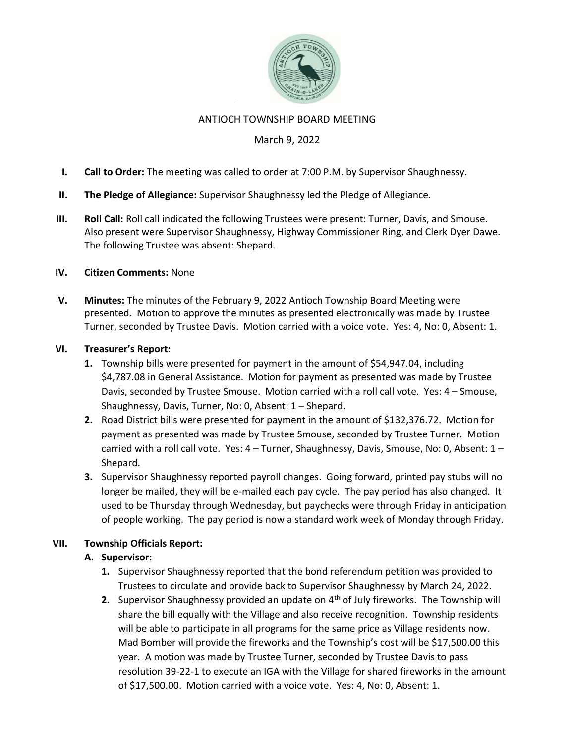

#### ANTIOCH TOWNSHIP BOARD MEETING

## March 9, 2022

- I. Call to Order: The meeting was called to order at 7:00 P.M. by Supervisor Shaughnessy.
- II. The Pledge of Allegiance: Supervisor Shaughnessy led the Pledge of Allegiance.
- III. Roll Call: Roll call indicated the following Trustees were present: Turner, Davis, and Smouse. Also present were Supervisor Shaughnessy, Highway Commissioner Ring, and Clerk Dyer Dawe. The following Trustee was absent: Shepard.

#### IV. Citizen Comments: None

V. Minutes: The minutes of the February 9, 2022 Antioch Township Board Meeting were presented. Motion to approve the minutes as presented electronically was made by Trustee Turner, seconded by Trustee Davis. Motion carried with a voice vote. Yes: 4, No: 0, Absent: 1.

#### VI. Treasurer's Report:

- 1. Township bills were presented for payment in the amount of \$54,947.04, including \$4,787.08 in General Assistance. Motion for payment as presented was made by Trustee Davis, seconded by Trustee Smouse. Motion carried with a roll call vote. Yes: 4 – Smouse, Shaughnessy, Davis, Turner, No: 0, Absent: 1 – Shepard.
- 2. Road District bills were presented for payment in the amount of \$132,376.72. Motion for payment as presented was made by Trustee Smouse, seconded by Trustee Turner. Motion carried with a roll call vote. Yes: 4 - Turner, Shaughnessy, Davis, Smouse, No: 0, Absent: 1 -Shepard.
- 3. Supervisor Shaughnessy reported payroll changes. Going forward, printed pay stubs will no longer be mailed, they will be e-mailed each pay cycle. The pay period has also changed. It used to be Thursday through Wednesday, but paychecks were through Friday in anticipation of people working. The pay period is now a standard work week of Monday through Friday.

#### VII. Township Officials Report:

#### A. Supervisor:

- 1. Supervisor Shaughnessy reported that the bond referendum petition was provided to Trustees to circulate and provide back to Supervisor Shaughnessy by March 24, 2022.
- 2. Supervisor Shaughnessy provided an update on  $4<sup>th</sup>$  of July fireworks. The Township will share the bill equally with the Village and also receive recognition. Township residents will be able to participate in all programs for the same price as Village residents now. Mad Bomber will provide the fireworks and the Township's cost will be \$17,500.00 this year. A motion was made by Trustee Turner, seconded by Trustee Davis to pass resolution 39-22-1 to execute an IGA with the Village for shared fireworks in the amount of \$17,500.00. Motion carried with a voice vote. Yes: 4, No: 0, Absent: 1.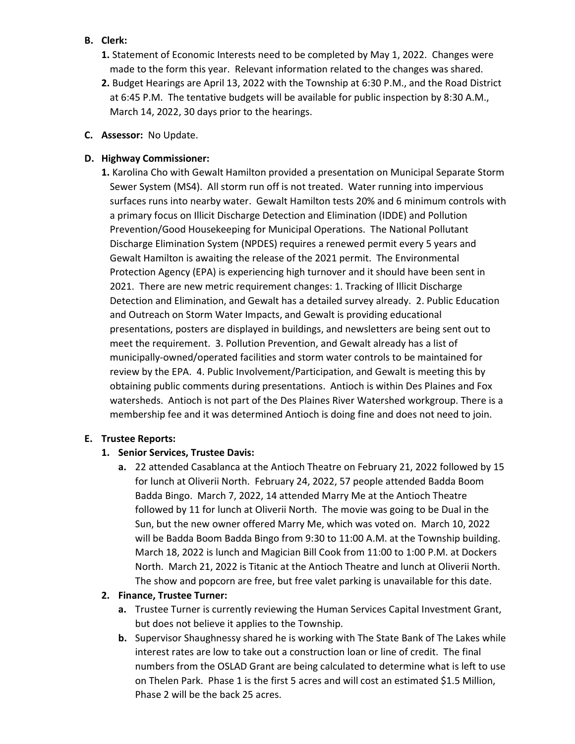## B. Clerk:

- 1. Statement of Economic Interests need to be completed by May 1, 2022. Changes were made to the form this year. Relevant information related to the changes was shared.
- 2. Budget Hearings are April 13, 2022 with the Township at 6:30 P.M., and the Road District at 6:45 P.M. The tentative budgets will be available for public inspection by 8:30 A.M., March 14, 2022, 30 days prior to the hearings.
- C. Assessor: No Update.

## D. Highway Commissioner:

1. Karolina Cho with Gewalt Hamilton provided a presentation on Municipal Separate Storm Sewer System (MS4). All storm run off is not treated. Water running into impervious surfaces runs into nearby water. Gewalt Hamilton tests 20% and 6 minimum controls with a primary focus on Illicit Discharge Detection and Elimination (IDDE) and Pollution Prevention/Good Housekeeping for Municipal Operations. The National Pollutant Discharge Elimination System (NPDES) requires a renewed permit every 5 years and Gewalt Hamilton is awaiting the release of the 2021 permit. The Environmental Protection Agency (EPA) is experiencing high turnover and it should have been sent in 2021. There are new metric requirement changes: 1. Tracking of Illicit Discharge Detection and Elimination, and Gewalt has a detailed survey already. 2. Public Education and Outreach on Storm Water Impacts, and Gewalt is providing educational presentations, posters are displayed in buildings, and newsletters are being sent out to meet the requirement. 3. Pollution Prevention, and Gewalt already has a list of municipally-owned/operated facilities and storm water controls to be maintained for review by the EPA. 4. Public Involvement/Participation, and Gewalt is meeting this by obtaining public comments during presentations. Antioch is within Des Plaines and Fox watersheds. Antioch is not part of the Des Plaines River Watershed workgroup. There is a membership fee and it was determined Antioch is doing fine and does not need to join.

# E. Trustee Reports:

# 1. Senior Services, Trustee Davis:

a. 22 attended Casablanca at the Antioch Theatre on February 21, 2022 followed by 15 for lunch at Oliverii North. February 24, 2022, 57 people attended Badda Boom Badda Bingo. March 7, 2022, 14 attended Marry Me at the Antioch Theatre followed by 11 for lunch at Oliverii North. The movie was going to be Dual in the Sun, but the new owner offered Marry Me, which was voted on. March 10, 2022 will be Badda Boom Badda Bingo from 9:30 to 11:00 A.M. at the Township building. March 18, 2022 is lunch and Magician Bill Cook from 11:00 to 1:00 P.M. at Dockers North. March 21, 2022 is Titanic at the Antioch Theatre and lunch at Oliverii North. The show and popcorn are free, but free valet parking is unavailable for this date.

# 2. Finance, Trustee Turner:

- a. Trustee Turner is currently reviewing the Human Services Capital Investment Grant, but does not believe it applies to the Township.
- b. Supervisor Shaughnessy shared he is working with The State Bank of The Lakes while interest rates are low to take out a construction loan or line of credit. The final numbers from the OSLAD Grant are being calculated to determine what is left to use on Thelen Park. Phase 1 is the first 5 acres and will cost an estimated \$1.5 Million, Phase 2 will be the back 25 acres.